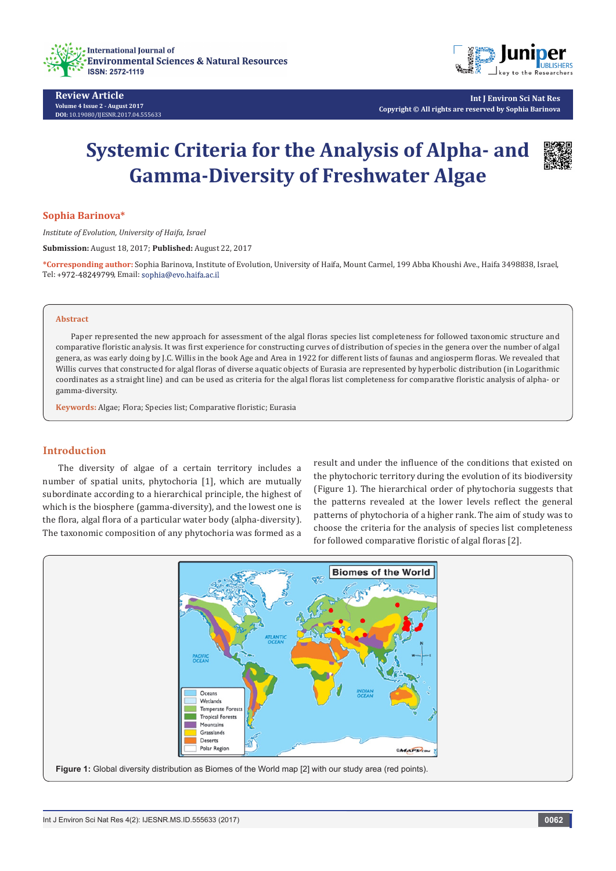



**Int J Environ Sci Nat Res Copyright © All rights are reserved by Sophia Barinova**

# **Systemic Criteria for the Analysis of Alpha- and Gamma-Diversity of Freshwater Algae**



### **Sophia Barinova\***

*Institute of Evolution, University of Haifa, Israel*

**Submission:** August 18, 2017; **Published:** August 22, 2017

**\*Corresponding author:** Sophia Barinova, Institute of Evolution, University of Haifa, Mount Carmel, 199 Abba Khoushi Ave., Haifa 3498838, Israel, Tel: +972-48249799, Email: sophia@evo.haifa.ac.il

#### **Abstract**

Paper represented the new approach for assessment of the algal floras species list completeness for followed taxonomic structure and comparative floristic analysis. It was first experience for constructing curves of distribution of species in the genera over the number of algal genera, as was early doing by J.C. Willis in the book Age and Area in 1922 for different lists of faunas and angiosperm floras. We revealed that Willis curves that constructed for algal floras of diverse aquatic objects of Eurasia are represented by hyperbolic distribution (in Logarithmic coordinates as a straight line) and can be used as criteria for the algal floras list completeness for comparative floristic analysis of alpha- or gamma-diversity.

**Keywords:** Algae; Flora; Species list; Comparative floristic; Eurasia

## **Introduction**

The diversity of algae of a certain territory includes a number of spatial units, phytochoria [1], which are mutually subordinate according to a hierarchical principle, the highest of which is the biosphere (gamma-diversity), and the lowest one is the flora, algal flora of a particular water body (alpha-diversity). The taxonomic composition of any phytochoria was formed as a

result and under the influence of the conditions that existed on the phytochoric territory during the evolution of its biodiversity (Figure 1). The hierarchical order of phytochoria suggests that the patterns revealed at the lower levels reflect the general patterns of phytochoria of a higher rank. The aim of study was to choose the criteria for the analysis of species list completeness for followed comparative floristic of algal floras [2].

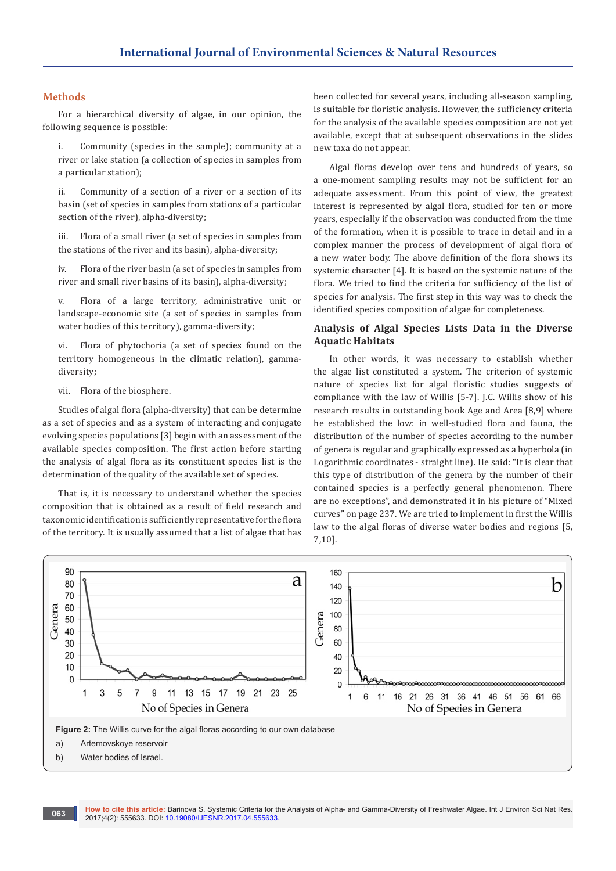## **Methods**

For a hierarchical diversity of algae, in our opinion, the following sequence is possible:

i. Community (species in the sample); community at a river or lake station (a collection of species in samples from a particular station);

ii. Community of a section of a river or a section of its basin (set of species in samples from stations of a particular section of the river), alpha-diversity;

iii. Flora of a small river (a set of species in samples from the stations of the river and its basin), alpha-diversity;

iv. Flora of the river basin (a set of species in samples from river and small river basins of its basin), alpha-diversity;

v. Flora of a large territory, administrative unit or landscape-economic site (a set of species in samples from water bodies of this territory), gamma-diversity;

vi. Flora of phytochoria (a set of species found on the territory homogeneous in the climatic relation), gammadiversity;

vii. Flora of the biosphere.

Studies of algal flora (alpha-diversity) that can be determine as a set of species and as a system of interacting and conjugate evolving species populations [3] begin with an assessment of the available species composition. The first action before starting the analysis of algal flora as its constituent species list is the determination of the quality of the available set of species.

That is, it is necessary to understand whether the species composition that is obtained as a result of field research and taxonomic identification is sufficiently representative for the flora of the territory. It is usually assumed that a list of algae that has been collected for several years, including all-season sampling, is suitable for floristic analysis. However, the sufficiency criteria for the analysis of the available species composition are not yet available, except that at subsequent observations in the slides new taxa do not appear.

Algal floras develop over tens and hundreds of years, so a one-moment sampling results may not be sufficient for an adequate assessment. From this point of view, the greatest interest is represented by algal flora, studied for ten or more years, especially if the observation was conducted from the time of the formation, when it is possible to trace in detail and in a complex manner the process of development of algal flora of a new water body. The above definition of the flora shows its systemic character [4]. It is based on the systemic nature of the flora. We tried to find the criteria for sufficiency of the list of species for analysis. The first step in this way was to check the identified species composition of algae for completeness.

# **Analysis of Algal Species Lists Data in the Diverse Aquatic Habitats**

In other words, it was necessary to establish whether the algae list constituted a system. The criterion of systemic nature of species list for algal floristic studies suggests of compliance with the law of Willis [5-7]. J.C. Willis show of his research results in outstanding book Age and Area [8,9] where he established the low: in well-studied flora and fauna, the distribution of the number of species according to the number of genera is regular and graphically expressed as a hyperbola (in Logarithmic coordinates - straight line). He said: "It is clear that this type of distribution of the genera by the number of their contained species is a perfectly general phenomenon. There are no exceptions", and demonstrated it in his picture of "Mixed curves" on page 237. We are tried to implement in first the Willis law to the algal floras of diverse water bodies and regions [5, 7,10].

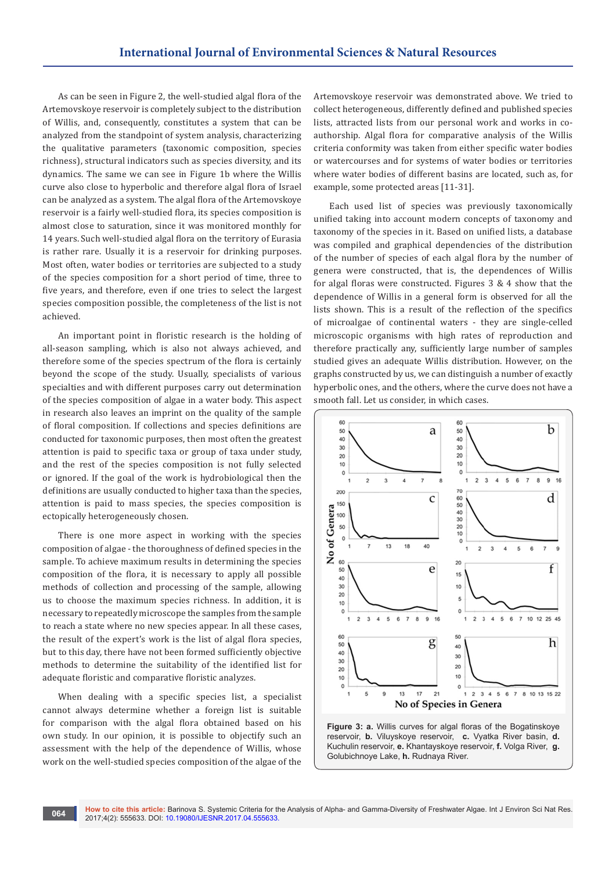As can be seen in Figure 2, the well-studied algal flora of the Artemovskoye reservoir is completely subject to the distribution of Willis, and, consequently, constitutes a system that can be analyzed from the standpoint of system analysis, characterizing the qualitative parameters (taxonomic composition, species richness), structural indicators such as species diversity, and its dynamics. The same we can see in Figure 1b where the Willis curve also close to hyperbolic and therefore algal flora of Israel can be analyzed as a system. The algal flora of the Artemovskoye reservoir is a fairly well-studied flora, its species composition is almost close to saturation, since it was monitored monthly for 14 years. Such well-studied algal flora on the territory of Eurasia is rather rare. Usually it is a reservoir for drinking purposes. Most often, water bodies or territories are subjected to a study of the species composition for a short period of time, three to five years, and therefore, even if one tries to select the largest species composition possible, the completeness of the list is not achieved.

An important point in floristic research is the holding of all-season sampling, which is also not always achieved, and therefore some of the species spectrum of the flora is certainly beyond the scope of the study. Usually, specialists of various specialties and with different purposes carry out determination of the species composition of algae in a water body. This aspect in research also leaves an imprint on the quality of the sample of floral composition. If collections and species definitions are conducted for taxonomic purposes, then most often the greatest attention is paid to specific taxa or group of taxa under study, and the rest of the species composition is not fully selected or ignored. If the goal of the work is hydrobiological then the definitions are usually conducted to higher taxa than the species, attention is paid to mass species, the species composition is ectopically heterogeneously chosen.

There is one more aspect in working with the species composition of algae - the thoroughness of defined species in the sample. To achieve maximum results in determining the species composition of the flora, it is necessary to apply all possible methods of collection and processing of the sample, allowing us to choose the maximum species richness. In addition, it is necessary to repeatedly microscope the samples from the sample to reach a state where no new species appear. In all these cases, the result of the expert's work is the list of algal flora species, but to this day, there have not been formed sufficiently objective methods to determine the suitability of the identified list for adequate floristic and comparative floristic analyzes.

When dealing with a specific species list, a specialist cannot always determine whether a foreign list is suitable for comparison with the algal flora obtained based on his own study. In our opinion, it is possible to objectify such an assessment with the help of the dependence of Willis, whose work on the well-studied species composition of the algae of the

Artemovskoye reservoir was demonstrated above. We tried to collect heterogeneous, differently defined and published species lists, attracted lists from our personal work and works in coauthorship. Algal flora for comparative analysis of the Willis criteria conformity was taken from either specific water bodies or watercourses and for systems of water bodies or territories where water bodies of different basins are located, such as, for example, some protected areas [11-31].

Each used list of species was previously taxonomically unified taking into account modern concepts of taxonomy and taxonomy of the species in it. Based on unified lists, a database was compiled and graphical dependencies of the distribution of the number of species of each algal flora by the number of genera were constructed, that is, the dependences of Willis for algal floras were constructed. Figures 3 & 4 show that the dependence of Willis in a general form is observed for all the lists shown. This is a result of the reflection of the specifics of microalgae of continental waters - they are single-celled microscopic organisms with high rates of reproduction and therefore practically any, sufficiently large number of samples studied gives an adequate Willis distribution. However, on the graphs constructed by us, we can distinguish a number of exactly hyperbolic ones, and the others, where the curve does not have a smooth fall. Let us consider, in which cases.



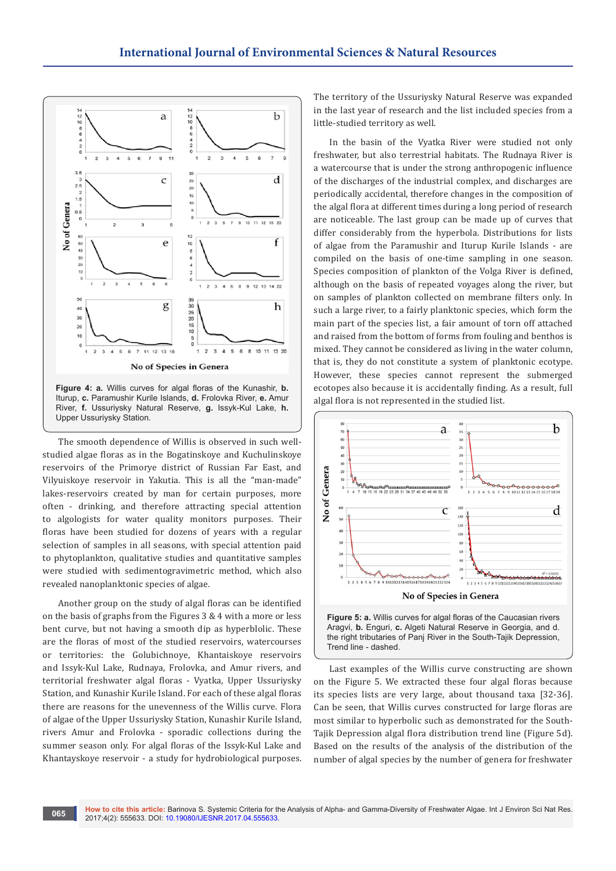

The smooth dependence of Willis is observed in such wellstudied algae floras as in the Bogatinskoye and Kuchulinskoye reservoirs of the Primorye district of Russian Far East, and Vilyuiskoye reservoir in Yakutia. This is all the "man-made" lakes-reservoirs created by man for certain purposes, more often - drinking, and therefore attracting special attention to algologists for water quality monitors purposes. Their floras have been studied for dozens of years with a regular selection of samples in all seasons, with special attention paid to phytoplankton, qualitative studies and quantitative samples were studied with sedimentogravimetric method, which also revealed nanoplanktonic species of algae.

Another group on the study of algal floras can be identified on the basis of graphs from the Figures 3 & 4 with a more or less bent curve, but not having a smooth dip as hyperblolic. These are the floras of most of the studied reservoirs, watercourses or territories: the Golubichnoye, Khantaiskoye reservoirs and Issyk-Kul Lake, Rudnaya, Frolovka, and Amur rivers, and territorial freshwater algal floras - Vyatka, Upper Ussuriysky Station, and Kunashir Kurile Island. For each of these algal floras there are reasons for the unevenness of the Willis curve. Flora of algae of the Upper Ussuriysky Station, Kunashir Kurile Island, rivers Amur and Frolovka - sporadic collections during the summer season only. For algal floras of the Issyk-Kul Lake and Khantayskoye reservoir - a study for hydrobiological purposes.

The territory of the Ussuriysky Natural Reserve was expanded in the last year of research and the list included species from a little-studied territory as well.

In the basin of the Vyatka River were studied not only freshwater, but also terrestrial habitats. The Rudnaya River is a watercourse that is under the strong anthropogenic influence of the discharges of the industrial complex, and discharges are periodically accidental, therefore changes in the composition of the algal flora at different times during a long period of research are noticeable. The last group can be made up of curves that differ considerably from the hyperbola. Distributions for lists of algae from the Paramushir and Iturup Kurile Islands - are compiled on the basis of one-time sampling in one season. Species composition of plankton of the Volga River is defined, although on the basis of repeated voyages along the river, but on samples of plankton collected on membrane filters only. In such a large river, to a fairly planktonic species, which form the main part of the species list, a fair amount of torn off attached and raised from the bottom of forms from fouling and benthos is mixed. They cannot be considered as living in the water column, that is, they do not constitute a system of planktonic ecotype. However, these species cannot represent the submerged ecotopes also because it is accidentally finding. As a result, full algal flora is not represented in the studied list.





Last examples of the Willis curve constructing are shown on the Figure 5. We extracted these four algal floras because its species lists are very large, about thousand taxa [32-36]. Can be seen, that Willis curves constructed for large floras are most similar to hyperbolic such as demonstrated for the South-Tajik Depression algal flora distribution trend line (Figure 5d). Based on the results of the analysis of the distribution of the number of algal species by the number of genera for freshwater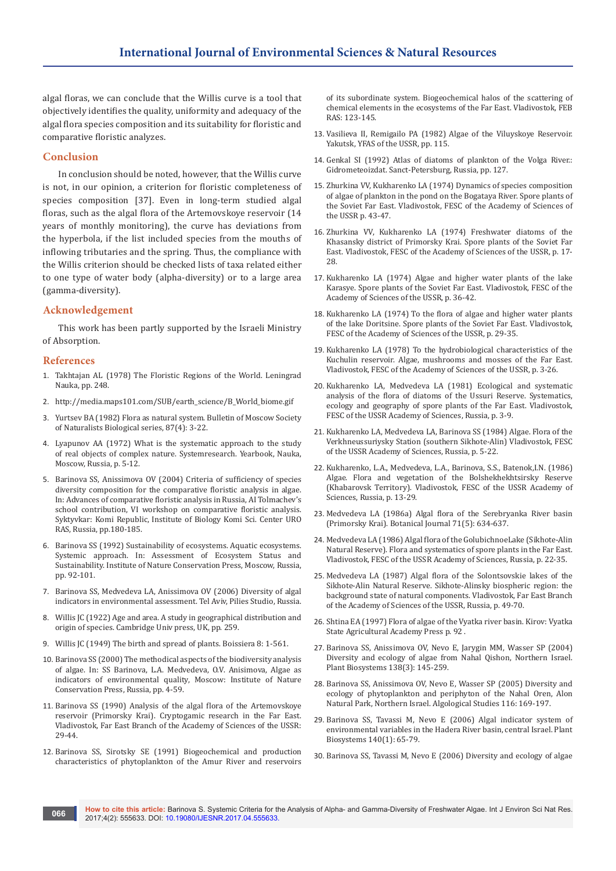algal floras, we can conclude that the Willis curve is a tool that objectively identifies the quality, uniformity and adequacy of the algal flora species composition and its suitability for floristic and comparative floristic analyzes.

## **Conclusion**

In conclusion should be noted, however, that the Willis curve is not, in our opinion, a criterion for floristic completeness of species composition [37]. Even in long-term studied algal floras, such as the algal flora of the Artemovskoye reservoir (14 years of monthly monitoring), the curve has deviations from the hyperbola, if the list included species from the mouths of inflowing tributaries and the spring. Thus, the compliance with the Willis criterion should be checked lists of taxa related either to one type of water body (alpha-diversity) or to a large area (gamma-diversity).

# **Acknowledgement**

This work has been partly supported by the Israeli Ministry of Absorption.

## **References**

- 1. [Takhtajan АL \(1978\) The Floristic Regions of the World. Leningrad](https://www.cabdirect.org/cabdirect/abstract/19810668908)  [Nauka, pp. 248.](https://www.cabdirect.org/cabdirect/abstract/19810668908)
- 2. [http://media.maps101.com/SUB/earth\\_science/B\\_World\\_biome.gif](http://media.maps101.com/SUB/earth_science/B_World_biome.gif)
- 3. Yurtsev BА (1982) Flora as natural system. Bulletin of Moscow Society of Naturalists Biological series, 87(4): 3-22.
- 4. Lyapunov АА (1972) What is the systematic approach to the study of real objects of complex nature. Systemresearch. Yearbook, Nauka, Moscow, Russia, p. 5-12.
- 5. Barinova SS, Anissimova OV (2004) Criteria of sufficiency of species diversity composition for the comparative floristic analysis in algae. In: Advances of comparative floristic analysis in Russia, AI Tolmachev's school contribution, VI workshop on comparative floristic analysis. Syktyvkar: Komi Republic, Institute of Biology Komi Sci. Center URO RAS, Russia, pp.180-185.
- 6. Barinova SS (1992) Sustainability of ecosystems. Aquatic ecosystems. Systemic approach. In: Assessment of Ecosystem Status and Sustainability. Institute of Nature Conservation Press, Moscow, Russia, pp. 92-101.
- 7. Barinova SS, Medvedeva LA, Anissimova OV (2006) Diversity of algal indicators in environmental assessment. Tel Aviv, Pilies Studio, Russia.
- 8. Willis JC (1922) Age and area. A study in geographical distribution and origin of species. Cambridge Univ press, UK, pp. 259.
- 9. Willis JC (1949) The birth and spread of plants. Boissiera 8: 1-561.
- 10. Barinova SS (2000) The methodical aspects of the biodiversity analysis of algae. In: SS Barinova, L.A. Medvedeva, O.V. Anisimova, Algae as indicators of environmental quality, Moscow: Institute of Nature Conservation Press, Russia, pp. 4-59.
- 11. Barinova SS (1990) Analysis of the algal flora of the Artemovskoye reservoir (Primorsky Krai). Cryptogamic research in the Far East. Vladivostok, Far East Branch of the Academy of Sciences of the USSR: 29-44.
- 12. Barinova SS, Sirotsky SE (1991) Biogeochemical and production characteristics of phytoplankton of the Amur River and reservoirs

of its subordinate system. Biogeochemical halos of the scattering of chemical elements in the ecosystems of the Far East. Vladivostok, FEB RAS: 123-145.

- 13. Vasilieva II, Remigailo PA (1982) Algae of the Viluyskoye Reservoir. Yakutsk, YFAS of the USSR, pp. 115.
- 14. Genkal SI (1992) Atlas of diatoms of plankton of the Volga River.: Gidrometeoizdat. Sanct-Petersburg, Russia, pp. 127.
- 15. Zhurkina VV, Kukharenko LА (1974) Dynamics of species composition of algae of plankton in the pond on the Bogataya River. Spore plants of the Soviet Far East. Vladivostok, FESC of the Academy of Sciences of the USSR p. 43-47.
- 16. Zhurkina VV, Kukharenko LА (1974) Freshwater diatoms of the Khasansky district of Primorsky Krai. Spore plants of the Soviet Far East. Vladivostok, FESC of the Academy of Sciences of the USSR, p. 17- 28.
- 17. Kukharenko LА (1974) Algae and higher water plants of the lake Karasye. Spore plants of the Soviet Far East. Vladivostok, FESC of the Academy of Sciences of the USSR, p. 36-42.
- 18. Kukharenko LА (1974) To the flora of algae and higher water plants of the lake Doritsine. Spore plants of the Soviet Far East. Vladivostok, FESC of the Academy of Sciences of the USSR, p. 29-35.
- 19. Kukharenko LА (1978) To the hydrobiological characteristics of the Kuchulin reservoir. Algae, mushrooms and mosses of the Far East. Vladivostok, FESC of the Academy of Sciences of the USSR, p. 3-26.
- 20. Kukharenko LА, Medvedeva LА (1981) Ecological and systematic analysis of the flora of diatoms of the Ussuri Reserve. Systematics, ecology and geography of spore plants of the Far East. Vladivostok, FESC of the USSR Academy of Sciences, Russia, p. 3-9.
- 21. Kukharenko LА, Medvedeva LА, Barinova SS (1984) Algae. Flora of the Verkhneussuriysky Station (southern Sikhote-Alin) Vladivostok, FESC of the USSR Academy of Sciences, Russia, p. 5-22.
- 22. Kukharenko, L.А., Medvedeva, L.А., Barinova, S.S., Batenok,I.N. (1986) Algae. Flora and vegetation of the Bolshekhekhtsirsky Reserve (Khabarovsk Territory). Vladivostok, FESC of the USSR Academy of Sciences, Russia, p. 13-29.
- 23. Medvedeva LА (1986а) Algal flora of the Serebryanka River basin (Primorsky Krai). Botanical Journal 71(5): 634-637.
- 24. Medvedeva LА (1986) Algal flora of the GolubichnoeLake (Sikhote-Alin Natural Reserve). Flora and systematics of spore plants in the Far East. Vladivostok, FESC of the USSR Academy of Sciences, Russia, p. 22-35.
- 25. Medvedeva LА (1987) Algal flora of the Solontsovskie lakes of the Sikhote-Alin Natural Reserve. Sikhote-Alinsky biospheric region: the background state of natural components. Vladivostok, Far East Branch of the Academy of Sciences of the USSR, Russia, p. 49-70.
- 26. Shtina EА (1997) Flora of algae of the Vyatka river basin. Kirov: Vyatka State Agricultural Academy Press p. 92 .
- 27. Barinova SS, Anissimova OV, Nevo E, Jarygin MM, Wasser SP (2004) Diversity and ecology of algae from Nahal Qishon, Northern Israel. Plant Biosystems 138(3): 145-259.
- 28. Barinova SS, Anissimova OV, Nevo E, Wasser SP (2005) Diversity and ecology of phytoplankton and periphyton of the Nahal Oren, Alon Natural Park, Northern Israel. Algological Studies 116: 169-197.
- 29. [Barinova SS, Tavassi M, Nevo E \(2006\) Algal indicator system of](http://www.tandfonline.com/doi/abs/10.1080/11263500500507593)  [environmental variables in the Hadera River basin, central Israel. Plant](http://www.tandfonline.com/doi/abs/10.1080/11263500500507593)  [Biosystems 140\(1\): 65-79.](http://www.tandfonline.com/doi/abs/10.1080/11263500500507593)
- 30. Barinova SS, Tavassi M, Nevo E (2006) Diversity and ecology of algae